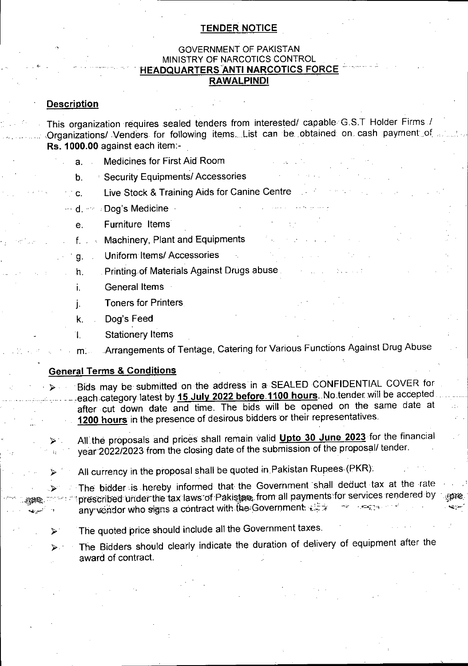## **TENDER NOTICE**

# GOVERNMENT OF PAKISTAN MINISTRY OF NARCOTICS CONTROL **HEADQUARTERS Anti narcotics force RAWALPINDI**

# **Description**

This organization requires sealed tenders from interested/ capable G.S.T Holder Firms / Organizations/. Venders for following items... List can be obtained on cash payment of **Rs. 1000.00** against each item:-

- a. Medicines for First Aid Room
- b. Security Equipments/ Accessories
- Live Stock & Training Aids for Canine Centre  $\sim c$ .
- <sup>…</sup> d. ≅ ⊧Dog's Medicine ⊹
	- Furniture Items e.
	- f. . Machinery, Plant and Equipments
	- Uniform Items/Accessories
	- h. . Printing of Materials Against Drugs abuse.
	- General Items **i.**
	- Toners for Printers J-
	- k. Dog's Feed
	- Stationery Items Ί.

Arrangements of Tentage, Catering for Various Functions Against Drug Abuse  $m$ :...

## **General Terms & Conditions**

**>**

**>-**

Bids may be submitted on the address in a SEALED CONFIDENTIAL COVER for each category latest by 15 July 2022 before 1100 hours. No tender will be accepted after cut down date and time. The bids will be opened on the same date at **1200 hours** in the presence of desirous bidders or their representatives.

All.the proposals and prices shall remain valid **Upto** 30 **June 2023** for the financial year 2022/2023 from the closing date of the submission of the proposal/ tender.

All currency in the proposal shall be quoted in Pakistan Rupees (PKR).

The bidder is hereby informed that the Government shall deduct tax at the rate prescribed under the tax laws of Pakistan, from all payments for services rendered by annear any vendor who signs a contract with the Government  $\epsilon =$ 

- The quoted price should include all the Government taxes.
- The Bidders should clearly indicate the duration of delivery of equipment after the award of contract.